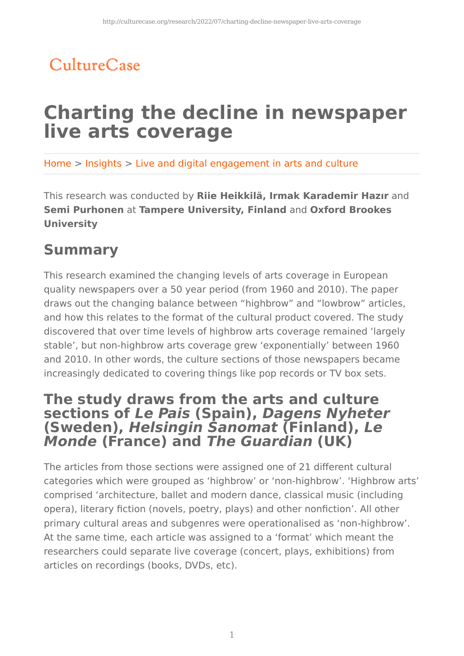## CultureCase

# **Charting the decline in newspaper live arts coverage**

Home > Insights > Live and digital engagement in arts and culture

This research was conducted by **Riie Heikkilä, Irmak Karademir Hazır** and **Semi Purhonen** at **Tampere University, Finland** and **Oxford Brookes University**

## **Summary**

This research examined the changing levels of arts coverage in European quality newspapers over a 50 year period (from 1960 and 2010). The paper draws out the changing balance between "highbrow" and "lowbrow" articles, and how this relates to the format of the cultural product covered. The study discovered that over time levels of highbrow arts coverage remained 'largely stable', but non-highbrow arts coverage grew 'exponentially' between 1960 and 2010. In other words, the culture sections of those newspapers became increasingly dedicated to covering things like pop records or TV box sets.

### **The study draws from the arts and culture sections of Le Pais (Spain), Dagens Nyheter (Sweden), Helsingin Sanomat (Finland), Le Monde (France) and The Guardian (UK)**

The articles from those sections were assigned one of 21 different cultural categories which were grouped as 'highbrow' or 'non-highbrow'. 'Highbrow arts' comprised 'architecture, ballet and modern dance, classical music (including opera), literary fiction (novels, poetry, plays) and other nonfiction'. All other primary cultural areas and subgenres were operationalised as 'non-highbrow'. At the same time, each article was assigned to a 'format' which meant the researchers could separate live coverage (concert, plays, exhibitions) from articles on recordings (books, DVDs, etc).